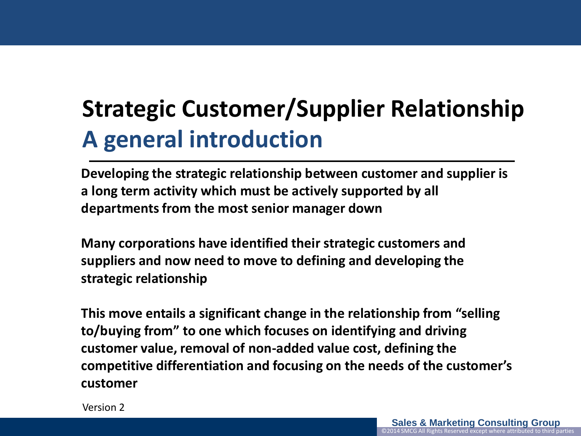# **Strategic Customer/Supplier Relationship A general introduction**

**Developing the strategic relationship between customer and supplier is a long term activity which must be actively supported by all departments from the most senior manager down**

**Many corporations have identified their strategic customers and suppliers and now need to move to defining and developing the strategic relationship**

**This move entails a significant change in the relationship from "selling to/buying from" to one which focuses on identifying and driving customer value, removal of non-added value cost, defining the competitive differentiation and focusing on the needs of the customer's customer**

Version 2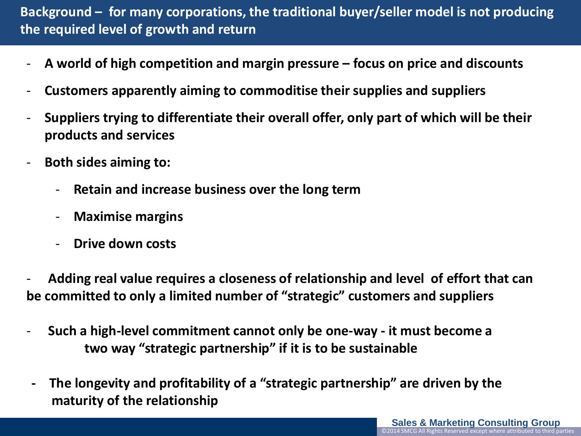# **Background – for many corporations, the traditional buyer/seller model is not producing the required level of growth and return**

- **A world of high competition and margin pressure – focus on price and discounts**
- **Customers apparently aiming to commoditise their supplies and suppliers**
- **Suppliers trying to differentiate their overall offer, only part of which will be their products and services**
- **Both sides aiming to:**
	- **Retain and increase business over the long term**
	- **Maximise margins**
	- **Drive down costs**

- **Adding real value requires a closeness of relationship and level of effort that can be committed to only a limited number of "strategic" customers and suppliers**

- - **Such a high-level commitment cannot only be one-way - it must become a two way "strategic partnership" if it is to be sustainable**
- **The longevity and profitability of a "strategic partnership" are driven by the maturity of the relationship**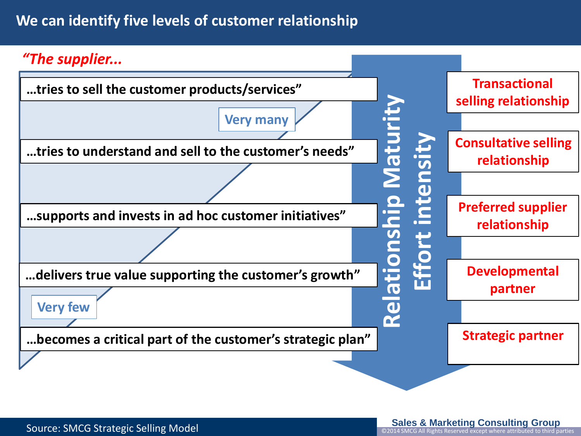# **We can identify five levels of customer relationship**

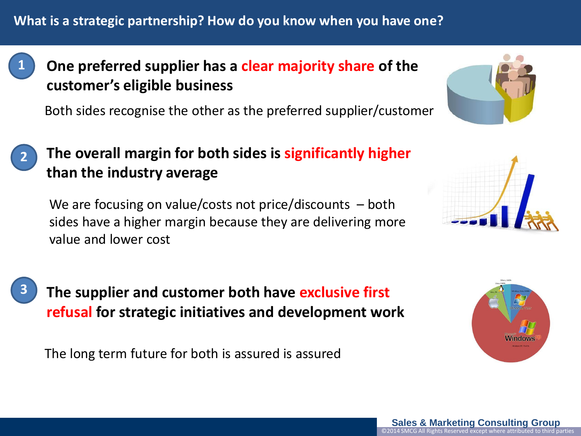

# **One preferred supplier has a clear majority share of the customer's eligible business**

Both sides recognise the other as the preferred supplier/customer



# **The overall margin for both sides is significantly higher than the industry average**

We are focusing on value/costs not price/discounts – both sides have a higher margin because they are delivering more value and lower cost





**The supplier and customer both have exclusive first refusal for strategic initiatives and development work**

The long term future for both is assured is assured



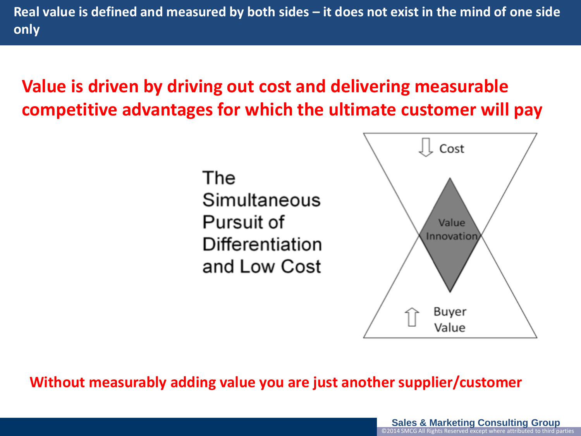**Real value is defined and measured by both sides – it does not exist in the mind of one side only**

# **Value is driven by driving out cost and delivering measurable competitive advantages for which the ultimate customer will pay**

The Simultaneous Pursuit of Differentiation and Low Cost



**Without measurably adding value you are just another supplier/customer**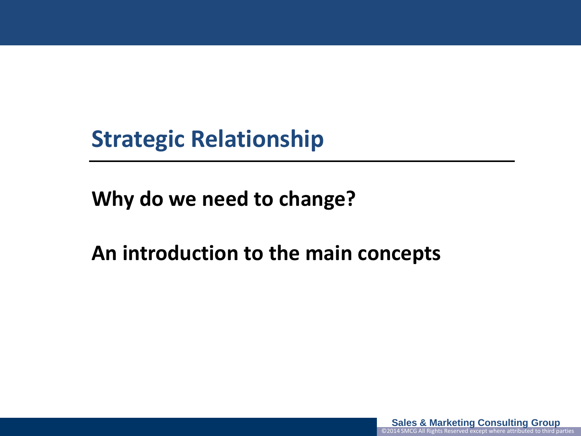# **Strategic Relationship**

**Why do we need to change?**

**An introduction to the main concepts**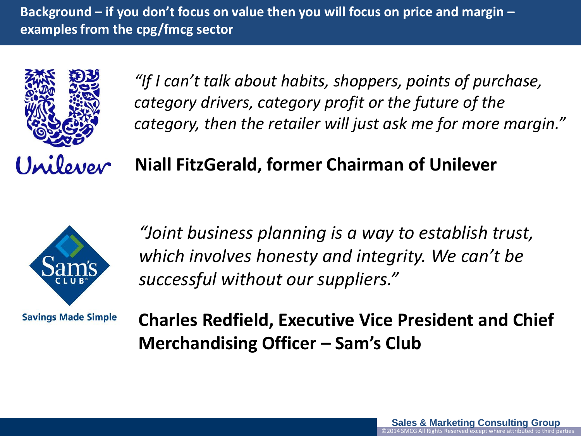**Background – if you don't focus on value then you will focus on price and margin – examples from the cpg/fmcg sector**



*"If I can't talk about habits, shoppers, points of purchase, category drivers, category profit or the future of the category, then the retailer will just ask me for more margin."*

**Niall FitzGerald, former Chairman of Unilever**



**Savings Made Simple** 

*"Joint business planning is a way to establish trust, which involves honesty and integrity. We can't be successful without our suppliers."*

**Charles Redfield, Executive Vice President and Chief Merchandising Officer – Sam's Club**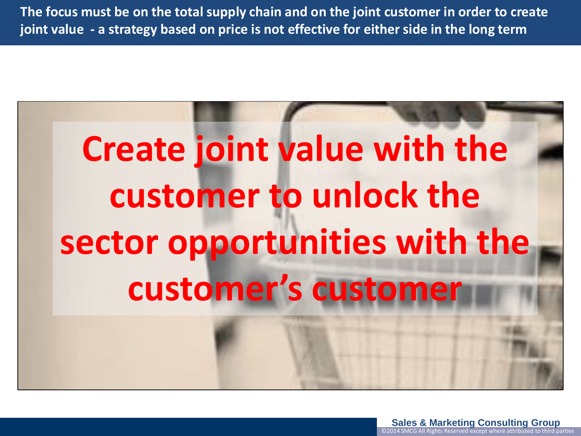**The focus must be on the total supply chain and on the joint customer in order to create joint value - a strategy based on price is not effective for either side in the long term**

# **Create joint value with the customer to unlock the sector opportunities with the customer's customer**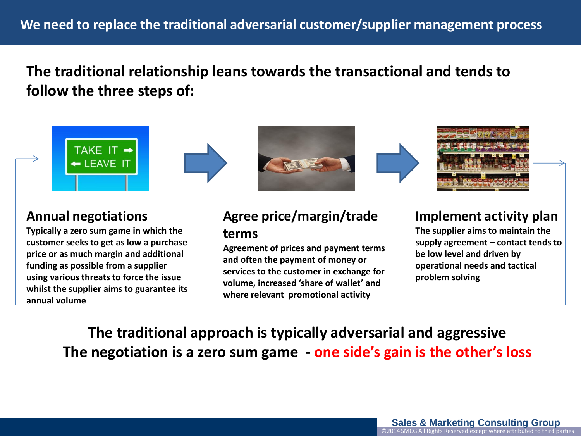# **The traditional relationship leans towards the transactional and tends to follow the three steps of:**



#### **Annual negotiations**

**Typically a zero sum game in which the customer seeks to get as low a purchase price or as much margin and additional funding as possible from a supplier using various threats to force the issue whilst the supplier aims to guarantee its annual volume**

#### **Agree price/margin/trade terms**

**Agreement of prices and payment terms and often the payment of money or services to the customer in exchange for volume, increased 'share of wallet' and where relevant promotional activity**

#### **Implement activity plan**

**The supplier aims to maintain the supply agreement – contact tends to be low level and driven by operational needs and tactical problem solving**

**The traditional approach is typically adversarial and aggressive The negotiation is a zero sum game - one side's gain is the other's loss**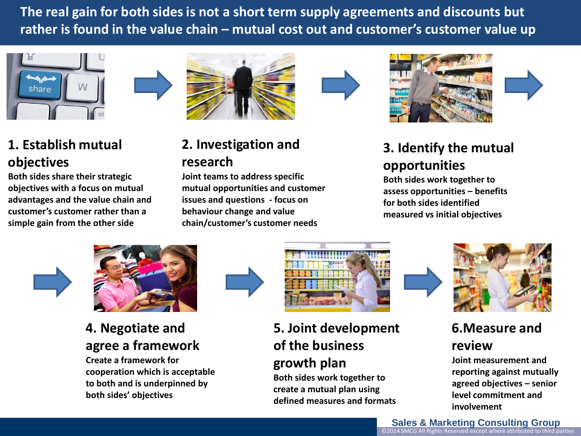**The real gain for both sides is not a short term supply agreements and discounts but rather is found in the value chain – mutual cost out and customer's customer value up**



## **1. Establish mutual objectives**

**Both sides share their strategic objectives with a focus on mutual advantages and the value chain and customer's customer rather than a simple gain from the other side**







# **2. Investigation and research**

**Joint teams to address specific mutual opportunities and customer issues and questions - focus on behaviour change and value chain/customer's customer needs**

# **3. Identify the mutual opportunities**

**Both sides work together to assess opportunities – benefits for both sides identified measured vs initial objectives**





# **4. Negotiate and agree a framework**

**Create a framework for cooperation which is acceptable to both and is underpinned by both sides' objectives** 



### **5. Joint development of the business growth plan**

**Both sides work together to create a mutual plan using defined measures and formats**



## **6.Measure and review**

**Joint measurement and reporting against mutually agreed objectives – senior level commitment and involvement**

**Sales & Marketing Consulting Group** ©2014 SMCG All Rights Reserved except where attributed to third parties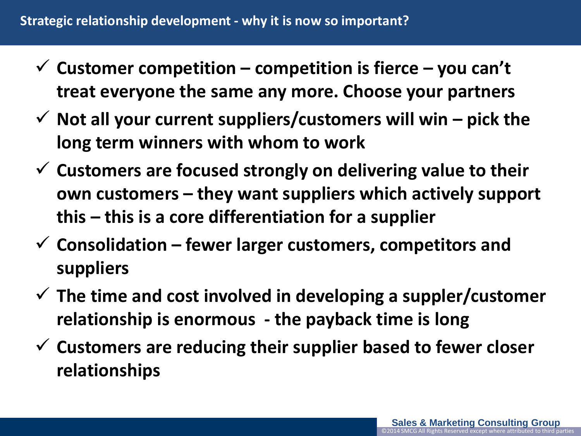- $\checkmark$  Customer competition competition is fierce you can't **treat everyone the same any more. Choose your partners**
- $\checkmark$  Not all your current suppliers/customers will win  $-$  pick the **long term winners with whom to work**
- **Customers are focused strongly on delivering value to their own customers – they want suppliers which actively support this – this is a core differentiation for a supplier**
- **Consolidation – fewer larger customers, competitors and suppliers**
- **The time and cost involved in developing a suppler/customer relationship is enormous - the payback time is long**
- **Customers are reducing their supplier based to fewer closer relationships**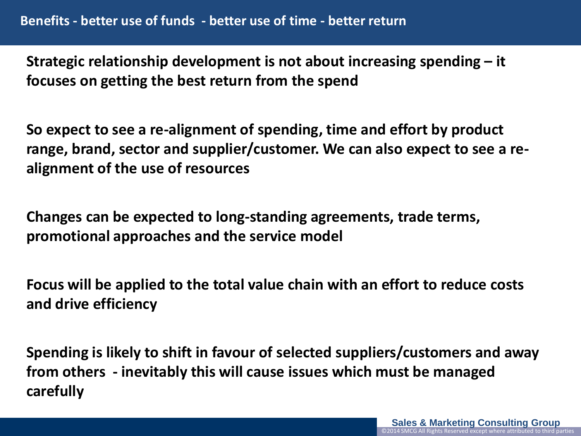**Strategic relationship development is not about increasing spending – it focuses on getting the best return from the spend**

**So expect to see a re-alignment of spending, time and effort by product range, brand, sector and supplier/customer. We can also expect to see a realignment of the use of resources**

**Changes can be expected to long-standing agreements, trade terms, promotional approaches and the service model**

**Focus will be applied to the total value chain with an effort to reduce costs and drive efficiency**

**Spending is likely to shift in favour of selected suppliers/customers and away from others - inevitably this will cause issues which must be managed carefully**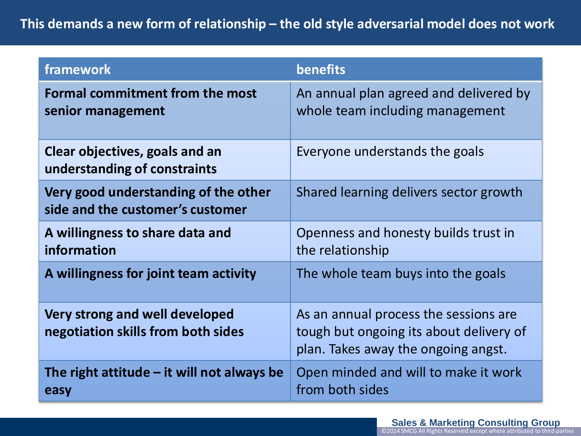#### **This demands a new form of relationship – the old style adversarial model does not work**

| framework                                                                | benefits                                                                                                                |
|--------------------------------------------------------------------------|-------------------------------------------------------------------------------------------------------------------------|
| <b>Formal commitment from the most</b><br>senior management              | An annual plan agreed and delivered by<br>whole team including management                                               |
| Clear objectives, goals and an<br>understanding of constraints           | Everyone understands the goals                                                                                          |
| Very good understanding of the other<br>side and the customer's customer | Shared learning delivers sector growth                                                                                  |
| A willingness to share data and<br>information                           | Openness and honesty builds trust in<br>the relationship                                                                |
| A willingness for joint team activity                                    | The whole team buys into the goals                                                                                      |
| Very strong and well developed<br>negotiation skills from both sides     | As an annual process the sessions are<br>tough but ongoing its about delivery of<br>plan. Takes away the ongoing angst. |
| The right attitude $-$ it will not always be<br>easy                     | Open minded and will to make it work<br>from both sides                                                                 |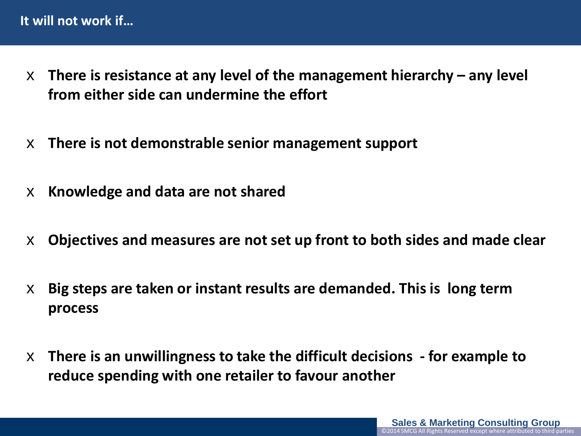- x **There is resistance at any level of the management hierarchy – any level from either side can undermine the effort**
- x **There is not demonstrable senior management support**
- x **Knowledge and data are not shared**
- x **Objectives and measures are not set up front to both sides and made clear**
- x **Big steps are taken or instant results are demanded. This is long term process**
- x **There is an unwillingness to take the difficult decisions - for example to reduce spending with one retailer to favour another**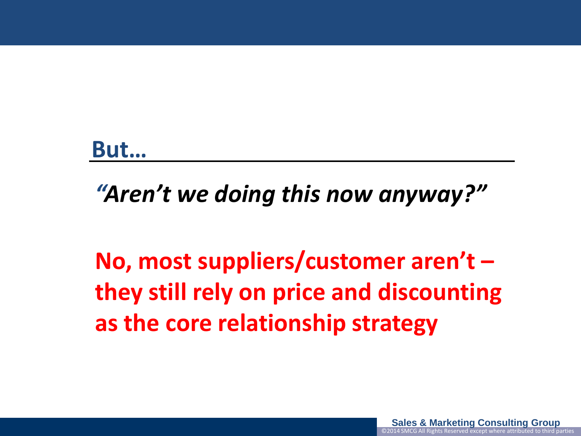# **But…**

*"Aren't we doing this now anyway?"*

**No, most suppliers/customer aren't – they still rely on price and discounting as the core relationship strategy**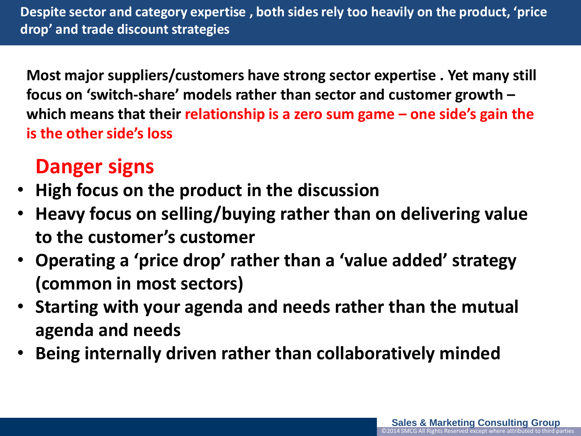**Despite sector and category expertise , both sides rely too heavily on the product, 'price drop' and trade discount strategies** 

**Most major suppliers/customers have strong sector expertise . Yet many still focus on 'switch-share' models rather than sector and customer growth – which means that their relationship is a zero sum game – one side's gain the is the other side's loss**

# **Danger signs**

- **High focus on the product in the discussion**
- **Heavy focus on selling/buying rather than on delivering value to the customer's customer**
- **Operating a 'price drop' rather than a 'value added' strategy (common in most sectors)**
- **Starting with your agenda and needs rather than the mutual agenda and needs**
- **Being internally driven rather than collaboratively minded**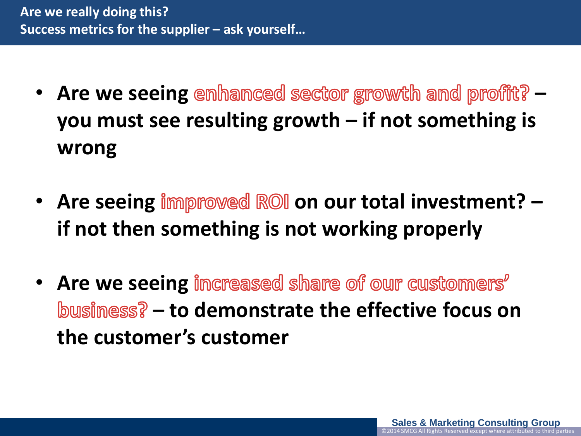- Are we seeing emhanced sector growth and profit? **you must see resulting growth – if not something is wrong**
- Are seeing **improved ROI** on our total investment? **if not then something is not working properly**
- **Are we seeing increased share of our customers – to demonstrate the effective focus on the customer's customer**